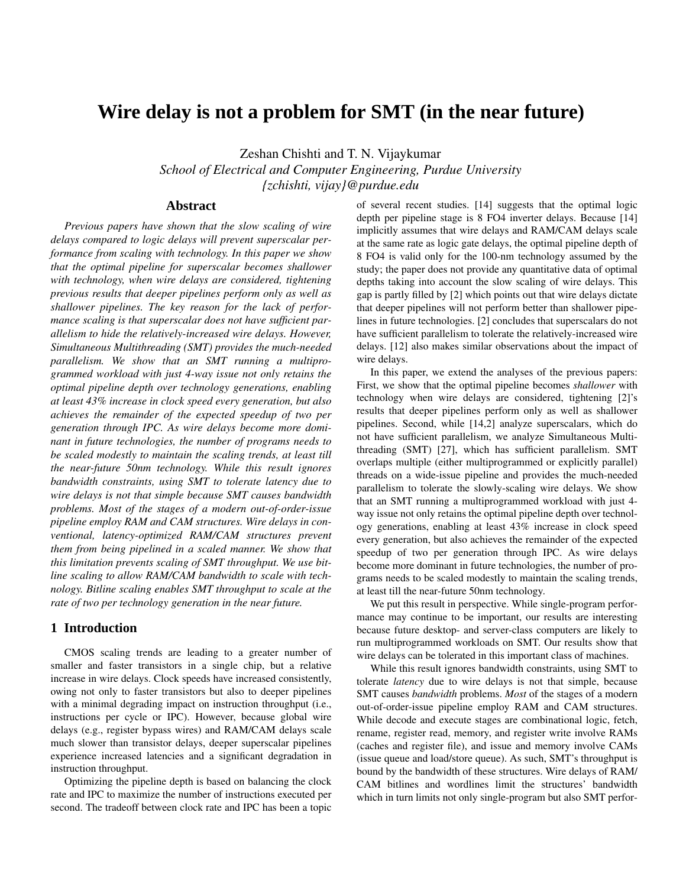# **Wire delay is not a problem for SMT (in the near future)**

Zeshan Chishti and T. N. Vijaykumar

*School of Electrical and Computer Engineering, Purdue University {zchishti, vijay}@purdue.edu*

## **Abstract**

*Previous papers have shown that the slow scaling of wire delays compared to logic delays will prevent superscalar performance from scaling with technology. In this paper we show that the optimal pipeline for superscalar becomes shallower with technology, when wire delays are considered, tightening previous results that deeper pipelines perform only as well as shallower pipelines. The key reason for the lack of performance scaling is that superscalar does not have sufficient parallelism to hide the relatively-increased wire delays. However, Simultaneous Multithreading (SMT) provides the much-needed parallelism. We show that an SMT running a multiprogrammed workload with just 4-way issue not only retains the optimal pipeline depth over technology generations, enabling at least 43% increase in clock speed every generation, but also achieves the remainder of the expected speedup of two per generation through IPC. As wire delays become more dominant in future technologies, the number of programs needs to be scaled modestly to maintain the scaling trends, at least till the near-future 50nm technology. While this result ignores bandwidth constraints, using SMT to tolerate latency due to wire delays is not that simple because SMT causes bandwidth problems. Most of the stages of a modern out-of-order-issue pipeline employ RAM and CAM structures. Wire delays in conventional, latency-optimized RAM/CAM structures prevent them from being pipelined in a scaled manner. We show that this limitation prevents scaling of SMT throughput. We use bitline scaling to allow RAM/CAM bandwidth to scale with technology. Bitline scaling enables SMT throughput to scale at the rate of two per technology generation in the near future.*

## **1 Introduction**

CMOS scaling trends are leading to a greater number of smaller and faster transistors in a single chip, but a relative increase in wire delays. Clock speeds have increased consistently, owing not only to faster transistors but also to deeper pipelines with a minimal degrading impact on instruction throughput (i.e., instructions per cycle or IPC). However, because global wire delays (e.g., register bypass wires) and RAM/CAM delays scale much slower than transistor delays, deeper superscalar pipelines experience increased latencies and a significant degradation in instruction throughput.

Optimizing the pipeline depth is based on balancing the clock rate and IPC to maximize the number of instructions executed per second. The tradeoff between clock rate and IPC has been a topic of several recent studies. [14] suggests that the optimal logic depth per pipeline stage is 8 FO4 inverter delays. Because [14] implicitly assumes that wire delays and RAM/CAM delays scale at the same rate as logic gate delays, the optimal pipeline depth of 8 FO4 is valid only for the 100-nm technology assumed by the study; the paper does not provide any quantitative data of optimal depths taking into account the slow scaling of wire delays. This gap is partly filled by [2] which points out that wire delays dictate that deeper pipelines will not perform better than shallower pipelines in future technologies. [2] concludes that superscalars do not have sufficient parallelism to tolerate the relatively-increased wire delays. [12] also makes similar observations about the impact of wire delays.

In this paper, we extend the analyses of the previous papers: First, we show that the optimal pipeline becomes *shallower* with technology when wire delays are considered, tightening [2]'s results that deeper pipelines perform only as well as shallower pipelines. Second, while [14,2] analyze superscalars, which do not have sufficient parallelism, we analyze Simultaneous Multithreading (SMT) [27], which has sufficient parallelism. SMT overlaps multiple (either multiprogrammed or explicitly parallel) threads on a wide-issue pipeline and provides the much-needed parallelism to tolerate the slowly-scaling wire delays. We show that an SMT running a multiprogrammed workload with just 4 way issue not only retains the optimal pipeline depth over technology generations, enabling at least 43% increase in clock speed every generation, but also achieves the remainder of the expected speedup of two per generation through IPC. As wire delays become more dominant in future technologies, the number of programs needs to be scaled modestly to maintain the scaling trends, at least till the near-future 50nm technology.

We put this result in perspective. While single-program performance may continue to be important, our results are interesting because future desktop- and server-class computers are likely to run multiprogrammed workloads on SMT. Our results show that wire delays can be tolerated in this important class of machines.

While this result ignores bandwidth constraints, using SMT to tolerate *latency* due to wire delays is not that simple, because SMT causes *bandwidth* problems. *Most* of the stages of a modern out-of-order-issue pipeline employ RAM and CAM structures. While decode and execute stages are combinational logic, fetch, rename, register read, memory, and register write involve RAMs (caches and register file), and issue and memory involve CAMs (issue queue and load/store queue). As such, SMT's throughput is bound by the bandwidth of these structures. Wire delays of RAM/ CAM bitlines and wordlines limit the structures' bandwidth which in turn limits not only single-program but also SMT perfor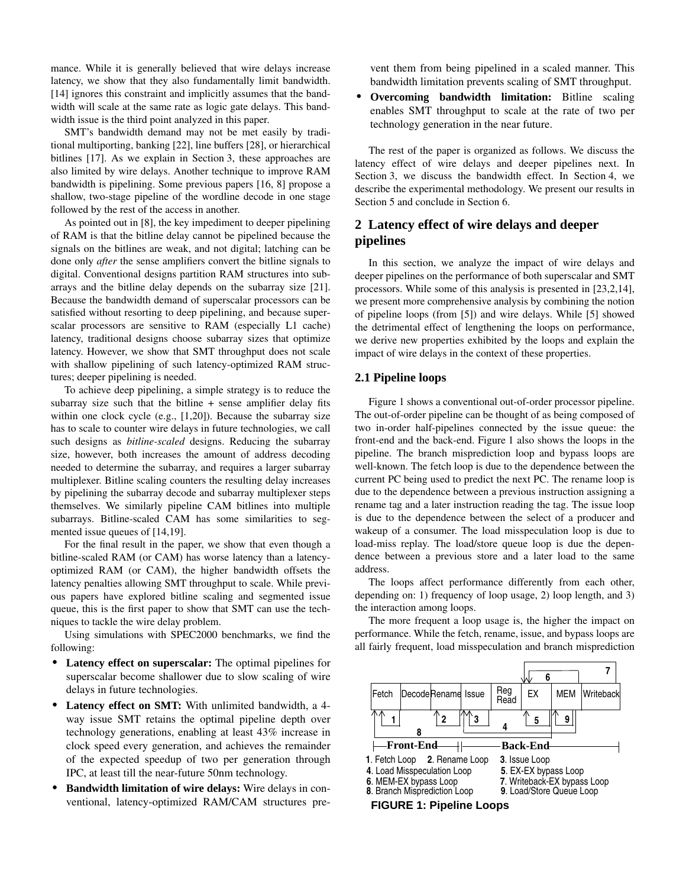mance. While it is generally believed that wire delays increase latency, we show that they also fundamentally limit bandwidth. [14] ignores this constraint and implicitly assumes that the bandwidth will scale at the same rate as logic gate delays. This bandwidth issue is the third point analyzed in this paper.

SMT's bandwidth demand may not be met easily by traditional multiporting, banking [22], line buffers [28], or hierarchical bitlines [17]. As we explain in Section 3, these approaches are also limited by wire delays. Another technique to improve RAM bandwidth is pipelining. Some previous papers [16, 8] propose a shallow, two-stage pipeline of the wordline decode in one stage followed by the rest of the access in another.

As pointed out in [8], the key impediment to deeper pipelining of RAM is that the bitline delay cannot be pipelined because the signals on the bitlines are weak, and not digital; latching can be done only *after* the sense amplifiers convert the bitline signals to digital. Conventional designs partition RAM structures into subarrays and the bitline delay depends on the subarray size [21]. Because the bandwidth demand of superscalar processors can be satisfied without resorting to deep pipelining, and because superscalar processors are sensitive to RAM (especially L1 cache) latency, traditional designs choose subarray sizes that optimize latency. However, we show that SMT throughput does not scale with shallow pipelining of such latency-optimized RAM structures; deeper pipelining is needed.

To achieve deep pipelining, a simple strategy is to reduce the subarray size such that the bitline  $+$  sense amplifier delay fits within one clock cycle (e.g., [1,20]). Because the subarray size has to scale to counter wire delays in future technologies, we call such designs as *bitline-scaled* designs. Reducing the subarray size, however, both increases the amount of address decoding needed to determine the subarray, and requires a larger subarray multiplexer. Bitline scaling counters the resulting delay increases by pipelining the subarray decode and subarray multiplexer steps themselves. We similarly pipeline CAM bitlines into multiple subarrays. Bitline-scaled CAM has some similarities to segmented issue queues of [14,19].

For the final result in the paper, we show that even though a bitline-scaled RAM (or CAM) has worse latency than a latencyoptimized RAM (or CAM), the higher bandwidth offsets the latency penalties allowing SMT throughput to scale. While previous papers have explored bitline scaling and segmented issue queue, this is the first paper to show that SMT can use the techniques to tackle the wire delay problem.

Using simulations with SPEC2000 benchmarks, we find the following:

- **• Latency effect on superscalar:** The optimal pipelines for superscalar become shallower due to slow scaling of wire delays in future technologies.
- **• Latency effect on SMT:** With unlimited bandwidth, a 4 way issue SMT retains the optimal pipeline depth over technology generations, enabling at least 43% increase in clock speed every generation, and achieves the remainder of the expected speedup of two per generation through IPC, at least till the near-future 50nm technology.
- **• Bandwidth limitation of wire delays:** Wire delays in conventional, latency-optimized RAM/CAM structures pre-

vent them from being pipelined in a scaled manner. This bandwidth limitation prevents scaling of SMT throughput.

**• Overcoming bandwidth limitation:** Bitline scaling enables SMT throughput to scale at the rate of two per technology generation in the near future.

The rest of the paper is organized as follows. We discuss the latency effect of wire delays and deeper pipelines next. In Section 3, we discuss the bandwidth effect. In Section 4, we describe the experimental methodology. We present our results in Section 5 and conclude in Section 6.

## **2 Latency effect of wire delays and deeper pipelines**

In this section, we analyze the impact of wire delays and deeper pipelines on the performance of both superscalar and SMT processors. While some of this analysis is presented in [23,2,14], we present more comprehensive analysis by combining the notion of pipeline loops (from [5]) and wire delays. While [5] showed the detrimental effect of lengthening the loops on performance, we derive new properties exhibited by the loops and explain the impact of wire delays in the context of these properties.

#### **2.1 Pipeline loops**

Figure 1 shows a conventional out-of-order processor pipeline. The out-of-order pipeline can be thought of as being composed of two in-order half-pipelines connected by the issue queue: the front-end and the back-end. Figure 1 also shows the loops in the pipeline. The branch misprediction loop and bypass loops are well-known. The fetch loop is due to the dependence between the current PC being used to predict the next PC. The rename loop is due to the dependence between a previous instruction assigning a rename tag and a later instruction reading the tag. The issue loop is due to the dependence between the select of a producer and wakeup of a consumer. The load misspeculation loop is due to load-miss replay. The load/store queue loop is due the dependence between a previous store and a later load to the same address.

The loops affect performance differently from each other, depending on: 1) frequency of loop usage, 2) loop length, and 3) the interaction among loops.

The more frequent a loop usage is, the higher the impact on performance. While the fetch, rename, issue, and bypass loops are all fairly frequent, load misspeculation and branch misprediction

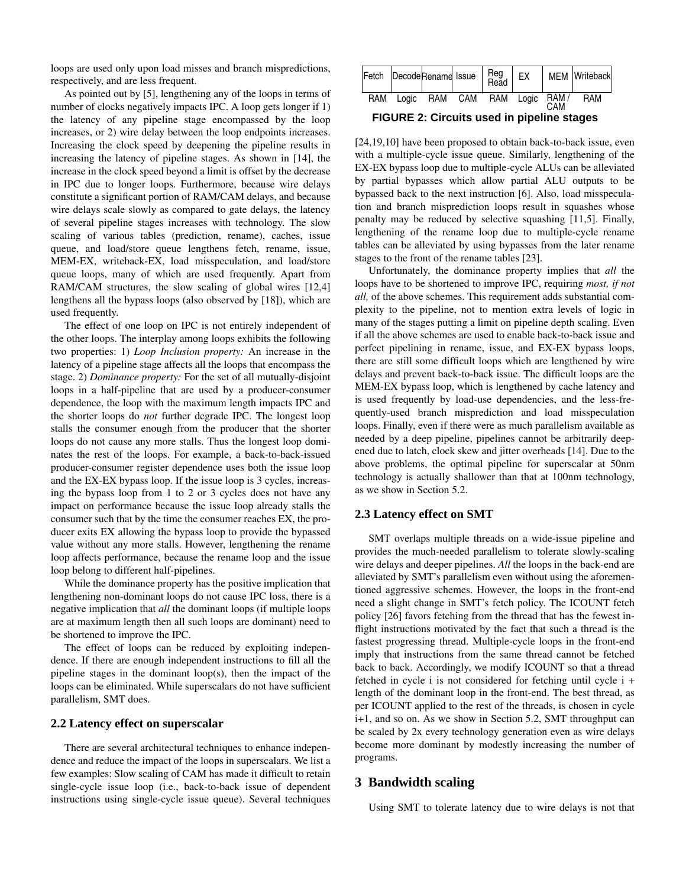loops are used only upon load misses and branch mispredictions, respectively, and are less frequent.

As pointed out by [5], lengthening any of the loops in terms of number of clocks negatively impacts IPC. A loop gets longer if 1) the latency of any pipeline stage encompassed by the loop increases, or 2) wire delay between the loop endpoints increases. Increasing the clock speed by deepening the pipeline results in increasing the latency of pipeline stages. As shown in [14], the increase in the clock speed beyond a limit is offset by the decrease in IPC due to longer loops. Furthermore, because wire delays constitute a significant portion of RAM/CAM delays, and because wire delays scale slowly as compared to gate delays, the latency of several pipeline stages increases with technology. The slow scaling of various tables (prediction, rename), caches, issue queue, and load/store queue lengthens fetch, rename, issue, MEM-EX, writeback-EX, load misspeculation, and load/store queue loops, many of which are used frequently. Apart from RAM/CAM structures, the slow scaling of global wires [12,4] lengthens all the bypass loops (also observed by [18]), which are used frequently.

The effect of one loop on IPC is not entirely independent of the other loops. The interplay among loops exhibits the following two properties: 1) *Loop Inclusion property:* An increase in the latency of a pipeline stage affects all the loops that encompass the stage. 2) *Dominance property:* For the set of all mutually-disjoint loops in a half-pipeline that are used by a producer-consumer dependence, the loop with the maximum length impacts IPC and the shorter loops do *not* further degrade IPC. The longest loop stalls the consumer enough from the producer that the shorter loops do not cause any more stalls. Thus the longest loop dominates the rest of the loops. For example, a back-to-back-issued producer-consumer register dependence uses both the issue loop and the EX-EX bypass loop. If the issue loop is 3 cycles, increasing the bypass loop from 1 to 2 or 3 cycles does not have any impact on performance because the issue loop already stalls the consumer such that by the time the consumer reaches EX, the producer exits EX allowing the bypass loop to provide the bypassed value without any more stalls. However, lengthening the rename loop affects performance, because the rename loop and the issue loop belong to different half-pipelines.

While the dominance property has the positive implication that lengthening non-dominant loops do not cause IPC loss, there is a negative implication that *all* the dominant loops (if multiple loops are at maximum length then all such loops are dominant) need to be shortened to improve the IPC.

The effect of loops can be reduced by exploiting independence. If there are enough independent instructions to fill all the pipeline stages in the dominant loop(s), then the impact of the loops can be eliminated. While superscalars do not have sufficient parallelism, SMT does.

#### **2.2 Latency effect on superscalar**

There are several architectural techniques to enhance independence and reduce the impact of the loops in superscalars. We list a few examples: Slow scaling of CAM has made it difficult to retain single-cycle issue loop (i.e., back-to-back issue of dependent instructions using single-cycle issue queue). Several techniques



[24,19,10] have been proposed to obtain back-to-back issue, even with a multiple-cycle issue queue. Similarly, lengthening of the EX-EX bypass loop due to multiple-cycle ALUs can be alleviated by partial bypasses which allow partial ALU outputs to be bypassed back to the next instruction [6]. Also, load misspeculation and branch misprediction loops result in squashes whose penalty may be reduced by selective squashing [11,5]. Finally, lengthening of the rename loop due to multiple-cycle rename tables can be alleviated by using bypasses from the later rename stages to the front of the rename tables [23].

Unfortunately, the dominance property implies that *all* the loops have to be shortened to improve IPC, requiring *most, if not all,* of the above schemes. This requirement adds substantial complexity to the pipeline, not to mention extra levels of logic in many of the stages putting a limit on pipeline depth scaling. Even if all the above schemes are used to enable back-to-back issue and perfect pipelining in rename, issue, and EX-EX bypass loops, there are still some difficult loops which are lengthened by wire delays and prevent back-to-back issue. The difficult loops are the MEM-EX bypass loop, which is lengthened by cache latency and is used frequently by load-use dependencies, and the less-frequently-used branch misprediction and load misspeculation loops. Finally, even if there were as much parallelism available as needed by a deep pipeline, pipelines cannot be arbitrarily deepened due to latch, clock skew and jitter overheads [14]. Due to the above problems, the optimal pipeline for superscalar at 50nm technology is actually shallower than that at 100nm technology, as we show in Section 5.2.

#### **2.3 Latency effect on SMT**

SMT overlaps multiple threads on a wide-issue pipeline and provides the much-needed parallelism to tolerate slowly-scaling wire delays and deeper pipelines. *All* the loops in the back-end are alleviated by SMT's parallelism even without using the aforementioned aggressive schemes. However, the loops in the front-end need a slight change in SMT's fetch policy. The ICOUNT fetch policy [26] favors fetching from the thread that has the fewest inflight instructions motivated by the fact that such a thread is the fastest progressing thread. Multiple-cycle loops in the front-end imply that instructions from the same thread cannot be fetched back to back. Accordingly, we modify ICOUNT so that a thread fetched in cycle i is not considered for fetching until cycle i + length of the dominant loop in the front-end. The best thread, as per ICOUNT applied to the rest of the threads, is chosen in cycle i+1, and so on. As we show in Section 5.2, SMT throughput can be scaled by 2x every technology generation even as wire delays become more dominant by modestly increasing the number of programs.

#### **3 Bandwidth scaling**

Using SMT to tolerate latency due to wire delays is not that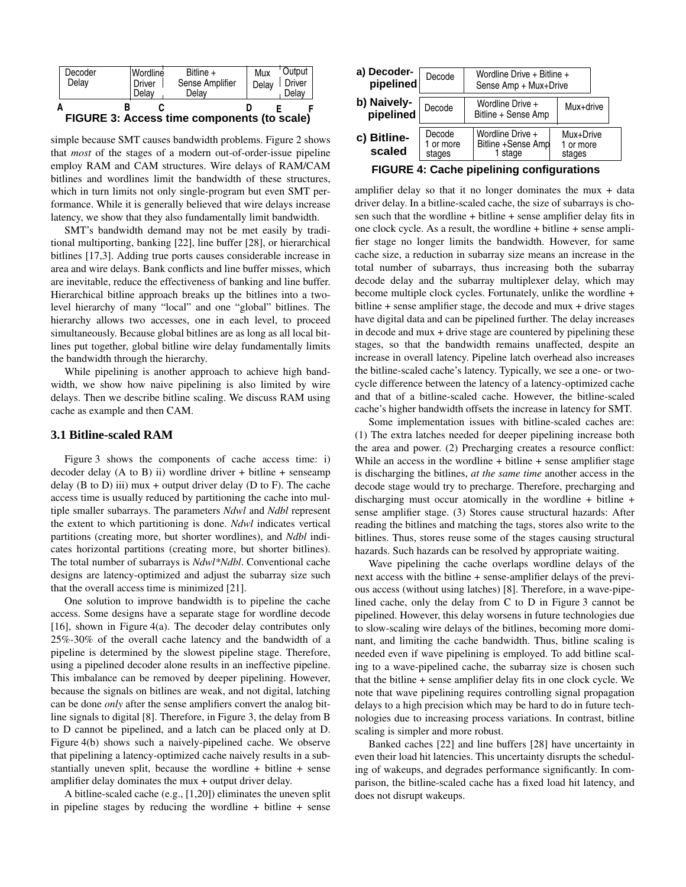| Decoder<br>Delay | Wordline<br>Driver<br>Delay | Bitline $+$<br>Sense Amplifier<br>Delav | Mux<br>Delav | Output<br>Driver<br>Delav |
|------------------|-----------------------------|-----------------------------------------|--------------|---------------------------|
|                  |                             |                                         | . .          |                           |

**FIGURE 3: Access time components (to scale)**

simple because SMT causes bandwidth problems. Figure 2 shows that *most* of the stages of a modern out-of-order-issue pipeline employ RAM and CAM structures. Wire delays of RAM/CAM bitlines and wordlines limit the bandwidth of these structures, which in turn limits not only single-program but even SMT performance. While it is generally believed that wire delays increase latency, we show that they also fundamentally limit bandwidth.

SMT's bandwidth demand may not be met easily by traditional multiporting, banking [22], line buffer [28], or hierarchical bitlines [17,3]. Adding true ports causes considerable increase in area and wire delays. Bank conflicts and line buffer misses, which are inevitable, reduce the effectiveness of banking and line buffer. Hierarchical bitline approach breaks up the bitlines into a twolevel hierarchy of many "local" and one "global" bitlines. The hierarchy allows two accesses, one in each level, to proceed simultaneously. Because global bitlines are as long as all local bitlines put together, global bitline wire delay fundamentally limits the bandwidth through the hierarchy.

While pipelining is another approach to achieve high bandwidth, we show how naive pipelining is also limited by wire delays. Then we describe bitline scaling. We discuss RAM using cache as example and then CAM.

#### **3.1 Bitline-scaled RAM**

Figure 3 shows the components of cache access time: i) decoder delay  $(A \text{ to } B)$  ii) wordline driver + bitline + senseamp delay (B to D) iii) mux  $+$  output driver delay (D to F). The cache access time is usually reduced by partitioning the cache into multiple smaller subarrays. The parameters *Ndwl* and *Ndbl* represent the extent to which partitioning is done. *Ndwl* indicates vertical partitions (creating more, but shorter wordlines), and *Ndbl* indicates horizontal partitions (creating more, but shorter bitlines). The total number of subarrays is *Ndwl\*Ndbl*. Conventional cache designs are latency-optimized and adjust the subarray size such that the overall access time is minimized [21].

One solution to improve bandwidth is to pipeline the cache access. Some designs have a separate stage for wordline decode [16], shown in Figure 4(a). The decoder delay contributes only 25%-30% of the overall cache latency and the bandwidth of a pipeline is determined by the slowest pipeline stage. Therefore, using a pipelined decoder alone results in an ineffective pipeline. This imbalance can be removed by deeper pipelining. However, because the signals on bitlines are weak, and not digital, latching can be done *only* after the sense amplifiers convert the analog bitline signals to digital [8]. Therefore, in Figure 3, the delay from B to D cannot be pipelined, and a latch can be placed only at D. Figure 4(b) shows such a naively-pipelined cache. We observe that pipelining a latency-optimized cache naively results in a substantially uneven split, because the wordline + bitline + sense amplifier delay dominates the mux + output driver delay.

A bitline-scaled cache (e.g., [1,20]) eliminates the uneven split in pipeline stages by reducing the wordline  $+$  bitline  $+$  sense

| a) Decoder-<br>pipelined | Decode                        | Wordline Drive + Bitline +<br>Sense Amp + Mux+Drive  |                                  |  |  |  |  |  |  |
|--------------------------|-------------------------------|------------------------------------------------------|----------------------------------|--|--|--|--|--|--|
| b) Naively-<br>pipelined | Decode                        | Wordline Drive +<br>Mux+drive<br>Bitline + Sense Amp |                                  |  |  |  |  |  |  |
| c) Bitline-<br>scaled    | Decode<br>1 or more<br>stages | Wordline Drive +<br>Bitline +Sense Amp<br>1 stage    | Mux+Drive<br>1 or more<br>stages |  |  |  |  |  |  |
| .                        |                               |                                                      |                                  |  |  |  |  |  |  |

**FIGURE 4: Cache pipelining configurations**

amplifier delay so that it no longer dominates the mux + data driver delay. In a bitline-scaled cache, the size of subarrays is chosen such that the wordline + bitline + sense amplifier delay fits in one clock cycle. As a result, the wordline + bitline + sense amplifier stage no longer limits the bandwidth. However, for same cache size, a reduction in subarray size means an increase in the total number of subarrays, thus increasing both the subarray decode delay and the subarray multiplexer delay, which may become multiple clock cycles. Fortunately, unlike the wordline + bitline + sense amplifier stage, the decode and mux + drive stages have digital data and can be pipelined further. The delay increases in decode and mux + drive stage are countered by pipelining these stages, so that the bandwidth remains unaffected, despite an increase in overall latency. Pipeline latch overhead also increases the bitline-scaled cache's latency. Typically, we see a one- or twocycle difference between the latency of a latency-optimized cache and that of a bitline-scaled cache. However, the bitline-scaled cache's higher bandwidth offsets the increase in latency for SMT.

Some implementation issues with bitline-scaled caches are: (1) The extra latches needed for deeper pipelining increase both the area and power. (2) Precharging creates a resource conflict: While an access in the wordline  $+$  bitline  $+$  sense amplifier stage is discharging the bitlines, *at the same time* another access in the decode stage would try to precharge. Therefore, precharging and discharging must occur atomically in the wordline + bitline + sense amplifier stage. (3) Stores cause structural hazards: After reading the bitlines and matching the tags, stores also write to the bitlines. Thus, stores reuse some of the stages causing structural hazards. Such hazards can be resolved by appropriate waiting.

Wave pipelining the cache overlaps wordline delays of the next access with the bitline + sense-amplifier delays of the previous access (without using latches) [8]. Therefore, in a wave-pipelined cache, only the delay from C to D in Figure 3 cannot be pipelined. However, this delay worsens in future technologies due to slow-scaling wire delays of the bitlines, becoming more dominant, and limiting the cache bandwidth. Thus, bitline scaling is needed even if wave pipelining is employed. To add bitline scaling to a wave-pipelined cache, the subarray size is chosen such that the bitline + sense amplifier delay fits in one clock cycle. We note that wave pipelining requires controlling signal propagation delays to a high precision which may be hard to do in future technologies due to increasing process variations. In contrast, bitline scaling is simpler and more robust.

Banked caches [22] and line buffers [28] have uncertainty in even their load hit latencies. This uncertainty disrupts the scheduling of wakeups, and degrades performance significantly. In comparison, the bitline-scaled cache has a fixed load hit latency, and does not disrupt wakeups.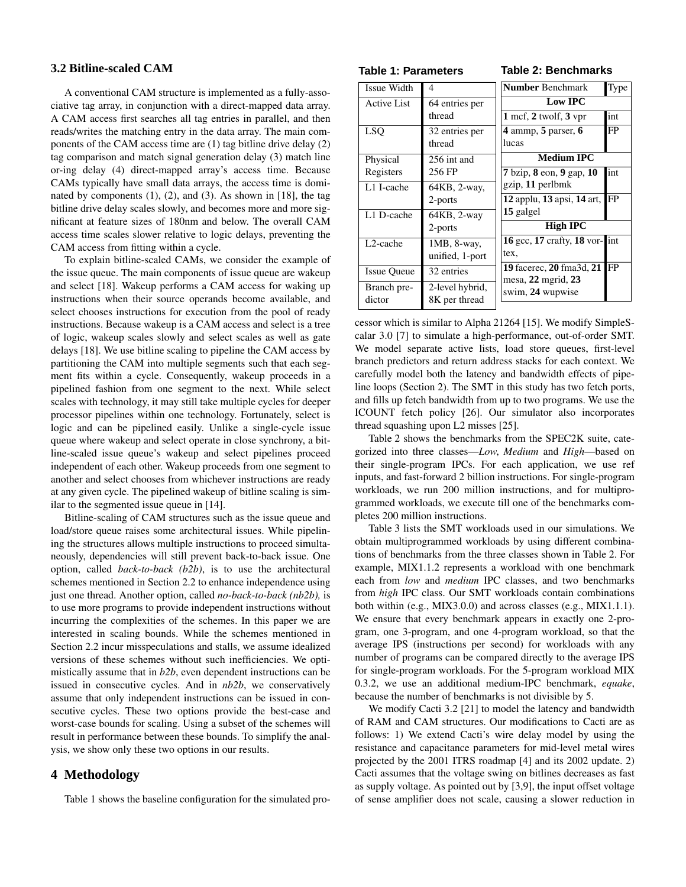#### **3.2 Bitline-scaled CAM**

A conventional CAM structure is implemented as a fully-associative tag array, in conjunction with a direct-mapped data array. A CAM access first searches all tag entries in parallel, and then reads/writes the matching entry in the data array. The main components of the CAM access time are (1) tag bitline drive delay (2) tag comparison and match signal generation delay (3) match line or-ing delay (4) direct-mapped array's access time. Because CAMs typically have small data arrays, the access time is dominated by components (1), (2), and (3). As shown in [18], the tag bitline drive delay scales slowly, and becomes more and more significant at feature sizes of 180nm and below. The overall CAM access time scales slower relative to logic delays, preventing the CAM access from fitting within a cycle.

To explain bitline-scaled CAMs, we consider the example of the issue queue. The main components of issue queue are wakeup and select [18]. Wakeup performs a CAM access for waking up instructions when their source operands become available, and select chooses instructions for execution from the pool of ready instructions. Because wakeup is a CAM access and select is a tree of logic, wakeup scales slowly and select scales as well as gate delays [18]. We use bitline scaling to pipeline the CAM access by partitioning the CAM into multiple segments such that each segment fits within a cycle. Consequently, wakeup proceeds in a pipelined fashion from one segment to the next. While select scales with technology, it may still take multiple cycles for deeper processor pipelines within one technology. Fortunately, select is logic and can be pipelined easily. Unlike a single-cycle issue queue where wakeup and select operate in close synchrony, a bitline-scaled issue queue's wakeup and select pipelines proceed independent of each other. Wakeup proceeds from one segment to another and select chooses from whichever instructions are ready at any given cycle. The pipelined wakeup of bitline scaling is similar to the segmented issue queue in [14].

Bitline-scaling of CAM structures such as the issue queue and load/store queue raises some architectural issues. While pipelining the structures allows multiple instructions to proceed simultaneously, dependencies will still prevent back-to-back issue. One option, called *back-to-back (b2b)*, is to use the architectural schemes mentioned in Section 2.2 to enhance independence using just one thread. Another option, called *no-back-to-back (nb2b),* is to use more programs to provide independent instructions without incurring the complexities of the schemes. In this paper we are interested in scaling bounds. While the schemes mentioned in Section 2.2 incur misspeculations and stalls, we assume idealized versions of these schemes without such inefficiencies. We optimistically assume that in *b2b*, even dependent instructions can be issued in consecutive cycles. And in *nb2b*, we conservatively assume that only independent instructions can be issued in consecutive cycles. These two options provide the best-case and worst-case bounds for scaling. Using a subset of the schemes will result in performance between these bounds. To simplify the analysis, we show only these two options in our results.

### **4 Methodology**

Table 1 shows the baseline configuration for the simulated pro-

|  |  | Table 1: Parameters |
|--|--|---------------------|
|--|--|---------------------|

**Table 2: Benchmarks**

| Issue Width           | 4               | <b>Number Benchmark</b>                 | Type |
|-----------------------|-----------------|-----------------------------------------|------|
| <b>Active List</b>    | 64 entries per  | <b>Low IPC</b>                          |      |
|                       | thread          | $1$ mcf, $2$ twolf, $3$ vpr             | int  |
| LSO                   | 32 entries per  | 4 ammp, 5 parser, 6                     | FP   |
|                       | thread          | lucas                                   |      |
| Physical              | 256 int and     | <b>Medium IPC</b>                       |      |
| Registers             | 256 FP          | 7 bzip, 8 eon, 9 gap, 10                | int  |
| L1 I-cache            | 64KB, 2-way,    | $gzip, 11$ perlbmk                      |      |
|                       | 2-ports         | 12 applu, 13 apsi, $\overline{14}$ art, | FP   |
| L1 D-cache            | 64KB, 2-way     | 15 galgel                               |      |
|                       | 2-ports         | <b>High IPC</b>                         |      |
| L <sub>2</sub> -cache | 1MB, 8-way,     | 16 gcc, $17$ crafty, $18$ vor- int      |      |
|                       | unified, 1-port | tex.                                    |      |
| <b>Issue Queue</b>    | 32 entries      | 19 facerec, 20 fma3d, 21                | FP   |
| Branch pre-           | 2-level hybrid, | mesa, 22 mgrid, 23                      |      |
| dictor                | 8K per thread   | swim, 24 wupwise                        |      |

cessor which is similar to Alpha 21264 [15]. We modify SimpleScalar 3.0 [7] to simulate a high-performance, out-of-order SMT. We model separate active lists, load store queues, first-level branch predictors and return address stacks for each context. We carefully model both the latency and bandwidth effects of pipeline loops (Section 2). The SMT in this study has two fetch ports, and fills up fetch bandwidth from up to two programs. We use the ICOUNT fetch policy [26]. Our simulator also incorporates thread squashing upon L2 misses [25].

Table 2 shows the benchmarks from the SPEC2K suite, categorized into three classes—*Low*, *Medium* and *High*—based on their single-program IPCs. For each application, we use ref inputs, and fast-forward 2 billion instructions. For single-program workloads, we run 200 million instructions, and for multiprogrammed workloads, we execute till one of the benchmarks completes 200 million instructions.

Table 3 lists the SMT workloads used in our simulations. We obtain multiprogrammed workloads by using different combinations of benchmarks from the three classes shown in Table 2. For example, MIX1.1.2 represents a workload with one benchmark each from *low* and *medium* IPC classes, and two benchmarks from *high* IPC class. Our SMT workloads contain combinations both within (e.g., MIX3.0.0) and across classes (e.g., MIX1.1.1). We ensure that every benchmark appears in exactly one 2-program, one 3-program, and one 4-program workload, so that the average IPS (instructions per second) for workloads with any number of programs can be compared directly to the average IPS for single-program workloads. For the 5-program workload MIX 0.3.2, we use an additional medium-IPC benchmark, *equake*, because the number of benchmarks is not divisible by 5.

We modify Cacti 3.2 [21] to model the latency and bandwidth of RAM and CAM structures. Our modifications to Cacti are as follows: 1) We extend Cacti's wire delay model by using the resistance and capacitance parameters for mid-level metal wires projected by the 2001 ITRS roadmap [4] and its 2002 update. 2) Cacti assumes that the voltage swing on bitlines decreases as fast as supply voltage. As pointed out by [3,9], the input offset voltage of sense amplifier does not scale, causing a slower reduction in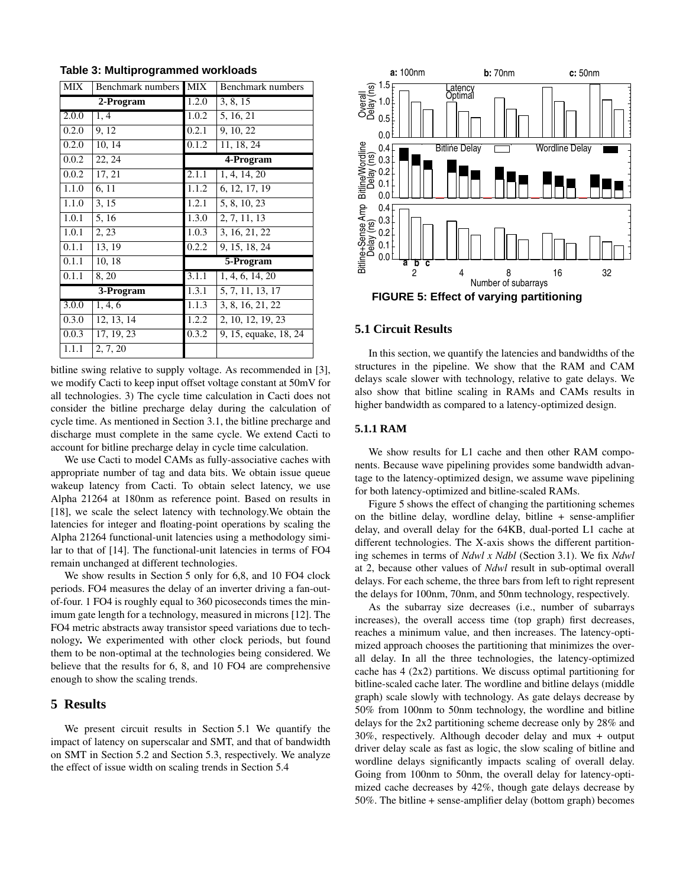| MIX   | Benchmark numbers | <b>MIX</b> | Benchmark numbers            |
|-------|-------------------|------------|------------------------------|
|       | 2-Program         | 1.2.0      | 3, 8, 15                     |
| 2.0.0 | 1,4               | 1.0.2      | 5, 16, 21                    |
| 0.2.0 | 9, 12             | 0.2.1      | 9, 10, 22                    |
| 0.2.0 | 10, 14            | 0.1.2      | 11, 18, 24                   |
| 0.0.2 | 22, 24            |            | 4-Program                    |
| 0.0.2 | 17, 21            | 2.1.1      | 1, 4, 14, 20                 |
| 1.1.0 | 6, 11             | 1.1.2      | 6, 12, 17, 19                |
| 1.1.0 | 3, 15             | 1.2.1      | 5, 8, 10, 23                 |
| 1.0.1 | 5, 16             | 1.3.0      | 2, 7, 11, 13                 |
| 1.0.1 | 2, 23             | 1.0.3      | 3, 16, 21, 22                |
| 0.1.1 | 13, 19            | 0.2.2      | 9, 15, 18, 24                |
| 0.1.1 | 10, 18            |            | 5-Program                    |
| 0.1.1 | 8, 20             | 3.1.1      | $\overline{1, 4, 6, 14, 20}$ |
|       | 3-Program         | 1.3.1      | 5, 7, 11, 13, 17             |
| 3.0.0 | 1, 4, 6           | 1.1.3      | 3, 8, 16, 21, 22             |
| 0.3.0 | 12, 13, 14        | 1.2.2      | 2, 10, 12, 19, 23            |
| 0.0.3 | 17, 19, 23        | 0.3.2      | 9, 15, equake, 18, 24        |
| 1.1.1 | 2, 7, 20          |            |                              |

bitline swing relative to supply voltage. As recommended in [3], we modify Cacti to keep input offset voltage constant at 50mV for all technologies. 3) The cycle time calculation in Cacti does not consider the bitline precharge delay during the calculation of cycle time. As mentioned in Section 3.1, the bitline precharge and discharge must complete in the same cycle. We extend Cacti to account for bitline precharge delay in cycle time calculation.

We use Cacti to model CAMs as fully-associative caches with appropriate number of tag and data bits. We obtain issue queue wakeup latency from Cacti. To obtain select latency, we use Alpha 21264 at 180nm as reference point. Based on results in [18], we scale the select latency with technology.We obtain the latencies for integer and floating-point operations by scaling the Alpha 21264 functional-unit latencies using a methodology similar to that of [14]. The functional-unit latencies in terms of FO4 remain unchanged at different technologies.

We show results in Section 5 only for 6,8, and 10 FO4 clock periods. FO4 measures the delay of an inverter driving a fan-outof-four. 1 FO4 is roughly equal to 360 picoseconds times the minimum gate length for a technology, measured in microns [12]. The FO4 metric abstracts away transistor speed variations due to technology**.** We experimented with other clock periods, but found them to be non-optimal at the technologies being considered. We believe that the results for 6, 8, and 10 FO4 are comprehensive enough to show the scaling trends.

#### **5 Results**

We present circuit results in Section 5.1 We quantify the impact of latency on superscalar and SMT, and that of bandwidth on SMT in Section 5.2 and Section 5.3, respectively. We analyze the effect of issue width on scaling trends in Section 5.4



#### **5.1 Circuit Results**

In this section, we quantify the latencies and bandwidths of the structures in the pipeline. We show that the RAM and CAM delays scale slower with technology, relative to gate delays. We also show that bitline scaling in RAMs and CAMs results in higher bandwidth as compared to a latency-optimized design.

#### **5.1.1 RAM**

We show results for L1 cache and then other RAM components. Because wave pipelining provides some bandwidth advantage to the latency-optimized design, we assume wave pipelining for both latency-optimized and bitline-scaled RAMs.

Figure 5 shows the effect of changing the partitioning schemes on the bitline delay, wordline delay, bitline + sense-amplifier delay, and overall delay for the 64KB, dual-ported L1 cache at different technologies. The X-axis shows the different partitioning schemes in terms of *Ndwl x Ndbl* (Section 3.1). We fix *Ndwl* at 2, because other values of *Ndwl* result in sub-optimal overall delays. For each scheme, the three bars from left to right represent the delays for 100nm, 70nm, and 50nm technology, respectively.

As the subarray size decreases (i.e., number of subarrays increases), the overall access time (top graph) first decreases, reaches a minimum value, and then increases. The latency-optimized approach chooses the partitioning that minimizes the overall delay. In all the three technologies, the latency-optimized cache has 4 (2x2) partitions. We discuss optimal partitioning for bitline-scaled cache later. The wordline and bitline delays (middle graph) scale slowly with technology. As gate delays decrease by 50% from 100nm to 50nm technology, the wordline and bitline delays for the 2x2 partitioning scheme decrease only by 28% and 30%, respectively. Although decoder delay and mux + output driver delay scale as fast as logic, the slow scaling of bitline and wordline delays significantly impacts scaling of overall delay. Going from 100nm to 50nm, the overall delay for latency-optimized cache decreases by 42%, though gate delays decrease by 50%. The bitline + sense-amplifier delay (bottom graph) becomes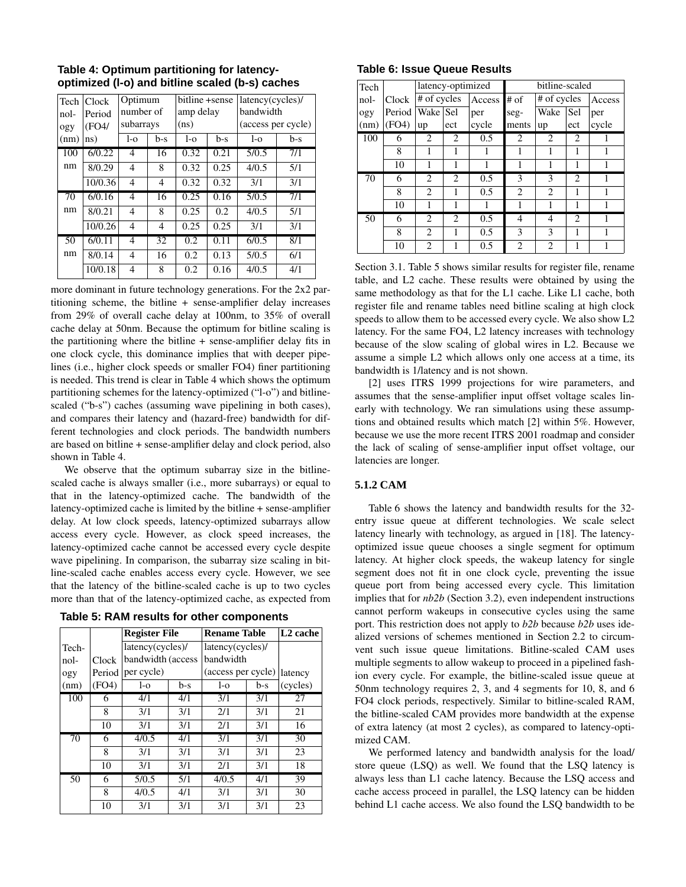| Tech<br>nol-<br>ogy | Clock<br>Period<br>(FO4/ | Optimum<br>number of<br>subarrays |                 | (ns)  | bitline +sense<br>amp delay |                 | latency(cycles)/<br>bandwidth<br>(access per cycle) |  |
|---------------------|--------------------------|-----------------------------------|-----------------|-------|-----------------------------|-----------------|-----------------------------------------------------|--|
| (nm)                | ns)                      | $1-O$                             | b-s             | $1-O$ | $b-s$                       | $1-O$           | b-s                                                 |  |
| 100                 | 6/0.22                   | 4                                 | 16              | 0.32  | 0.21                        | $\frac{5}{0.5}$ | 7/1                                                 |  |
| nm                  | 8/0.29                   | 4                                 | 8               | 0.32  | 0.25                        | 4/0.5           | 5/1                                                 |  |
|                     | 10/0.36                  | 4                                 | 4               | 0.32  | 0.32                        | 3/1             | 3/1                                                 |  |
| 70                  | 6/0.16                   | 4                                 | $\overline{16}$ | 0.25  | 0.16                        | $\frac{5}{0.5}$ | 7/1                                                 |  |
| nm                  | 8/0.21                   | 4                                 | 8               | 0.25  | 0.2                         | 4/0.5           | 5/1                                                 |  |
|                     | 10/0.26                  | 4                                 | 4               | 0.25  | 0.25                        | 3/1             | 3/1                                                 |  |
| 50                  | 6/0.11                   | 4                                 | 32              | 0.2   | 0.11                        | 6/0.5           | $\overline{8/1}$                                    |  |
| nm                  | 8/0.14                   | 4                                 | 16              | 0.2   | 0.13                        | 5/0.5           | 6/1                                                 |  |
|                     | 10/0.18                  | 4                                 | 8               | 0.2   | 0.16                        | 4/0.5           | 4/1                                                 |  |

**Table 4: Optimum partitioning for latencyoptimized (l-o) and bitline scaled (b-s) caches**

more dominant in future technology generations. For the 2x2 partitioning scheme, the bitline + sense-amplifier delay increases from 29% of overall cache delay at 100nm, to 35% of overall cache delay at 50nm. Because the optimum for bitline scaling is the partitioning where the bitline + sense-amplifier delay fits in one clock cycle, this dominance implies that with deeper pipelines (i.e., higher clock speeds or smaller FO4) finer partitioning is needed. This trend is clear in Table 4 which shows the optimum partitioning schemes for the latency-optimized ("l-o") and bitlinescaled ("b-s") caches (assuming wave pipelining in both cases), and compares their latency and (hazard-free) bandwidth for different technologies and clock periods. The bandwidth numbers are based on bitline + sense-amplifier delay and clock period, also shown in Table 4.

We observe that the optimum subarray size in the bitlinescaled cache is always smaller (i.e., more subarrays) or equal to that in the latency-optimized cache. The bandwidth of the latency-optimized cache is limited by the bitline + sense-amplifier delay. At low clock speeds, latency-optimized subarrays allow access every cycle. However, as clock speed increases, the latency-optimized cache cannot be accessed every cycle despite wave pipelining. In comparison, the subarray size scaling in bitline-scaled cache enables access every cycle. However, we see that the latency of the bitline-scaled cache is up to two cycles more than that of the latency-optimized cache, as expected from

| Table 5: RAM results for other components |  |
|-------------------------------------------|--|
|-------------------------------------------|--|

|                 |        | <b>Register File</b> |                  | <b>Rename Table</b> | L <sub>2</sub> cache |          |
|-----------------|--------|----------------------|------------------|---------------------|----------------------|----------|
| Tech-           |        | $latency(cycles)$ /  |                  | latency(cycles)/    |                      |          |
| nol-            | Clock  | bandwidth (access    |                  | bandwidth           |                      |          |
| ogy             | Period | per cycle)           |                  | (access per cycle)  |                      | latency  |
| (nm)            | (FO4)  | $1-o$                | $b-s$            | $1-o$               | $b-s$                | (cycles) |
| 100             | 6      | 4/1                  | 4/1              | 3/1                 | 3/1                  | 27       |
|                 | 8      | 3/1                  | 3/1              | 2/1                 | 3/1                  | 21       |
|                 | 10     | 3/1                  | 3/1              | 2/1                 | 3/1                  | 16       |
| 70              | 6      | 4/0.5                | 4/1              | 3/1                 | 3/1                  | 30       |
|                 | 8      | 3/1                  | 3/1              | 3/1                 | 3/1                  | 23       |
|                 | 10     | 3/1                  | 3/1              | 2/1                 | 3/1                  | 18       |
| $\overline{50}$ | 6      | 5/0.5                | $\overline{5/1}$ | 4/0.5               | 4/1                  | 39       |
|                 | 8      | 4/0.5                | 4/1              | 3/1                 | 3/1                  | 30       |
|                 | 10     | 3/1                  | 3/1              | 3/1                 | 3/1                  | 23       |

#### **Table 6: Issue Queue Results**

| Tech |        | latency-optimized |     |        | bitline-scaled        |                |                |        |
|------|--------|-------------------|-----|--------|-----------------------|----------------|----------------|--------|
| nol- | Clock  | # of cycles       |     | Access | # of cycles<br>$#$ of |                |                | Access |
| ogy  | Period | Wake Sel          |     | per    | seg-                  | Wake           | Sel            | per    |
| (nm) | (FO4)  | up                | ect | cycle  | ments                 | up             | ect            | cycle  |
| 100  | 6      | $\overline{c}$    | 2   | 0.5    | 2                     | $\overline{c}$ | 2              |        |
|      | 8      | 1                 | 1   | 1      |                       | 1              | 1              |        |
|      | 10     | 1                 | 1   | 1      |                       | 1              | 1              |        |
| 70   | 6      | $\overline{c}$    | 2   | 0.5    | 3                     | 3              | $\overline{c}$ | 1      |
|      | 8      | $\overline{c}$    | 1   | 0.5    | $\overline{2}$        | $\overline{c}$ | 1              | 1      |
|      | 10     | 1                 | 1   | 1      |                       | 1              | 1              |        |
| 50   | 6      | $\overline{c}$    | 2   | 0.5    | 4                     | 4              | $\overline{c}$ |        |
|      | 8      | $\overline{c}$    | 1   | 0.5    | 3                     | 3              | 1              | 1      |
|      | 10     | $\overline{2}$    | 1   | 0.5    | $\overline{2}$        | $\overline{2}$ | 1              |        |

Section 3.1. Table 5 shows similar results for register file, rename table, and L2 cache. These results were obtained by using the same methodology as that for the L1 cache. Like L1 cache, both register file and rename tables need bitline scaling at high clock speeds to allow them to be accessed every cycle. We also show L2 latency. For the same FO4, L2 latency increases with technology because of the slow scaling of global wires in L2. Because we assume a simple L2 which allows only one access at a time, its bandwidth is 1/latency and is not shown.

[2] uses ITRS 1999 projections for wire parameters, and assumes that the sense-amplifier input offset voltage scales linearly with technology. We ran simulations using these assumptions and obtained results which match [2] within 5%. However, because we use the more recent ITRS 2001 roadmap and consider the lack of scaling of sense-amplifier input offset voltage, our latencies are longer.

#### **5.1.2 CAM**

Table 6 shows the latency and bandwidth results for the 32 entry issue queue at different technologies. We scale select latency linearly with technology, as argued in [18]. The latencyoptimized issue queue chooses a single segment for optimum latency. At higher clock speeds, the wakeup latency for single segment does not fit in one clock cycle, preventing the issue queue port from being accessed every cycle. This limitation implies that for *nb2b* (Section 3.2), even independent instructions cannot perform wakeups in consecutive cycles using the same port. This restriction does not apply to *b2b* because *b2b* uses idealized versions of schemes mentioned in Section 2.2 to circumvent such issue queue limitations. Bitline-scaled CAM uses multiple segments to allow wakeup to proceed in a pipelined fashion every cycle. For example, the bitline-scaled issue queue at 50nm technology requires 2, 3, and 4 segments for 10, 8, and 6 FO4 clock periods, respectively. Similar to bitline-scaled RAM, the bitline-scaled CAM provides more bandwidth at the expense of extra latency (at most 2 cycles), as compared to latency-optimized CAM.

We performed latency and bandwidth analysis for the load/ store queue (LSQ) as well. We found that the LSQ latency is always less than L1 cache latency. Because the LSQ access and cache access proceed in parallel, the LSQ latency can be hidden behind L1 cache access. We also found the LSQ bandwidth to be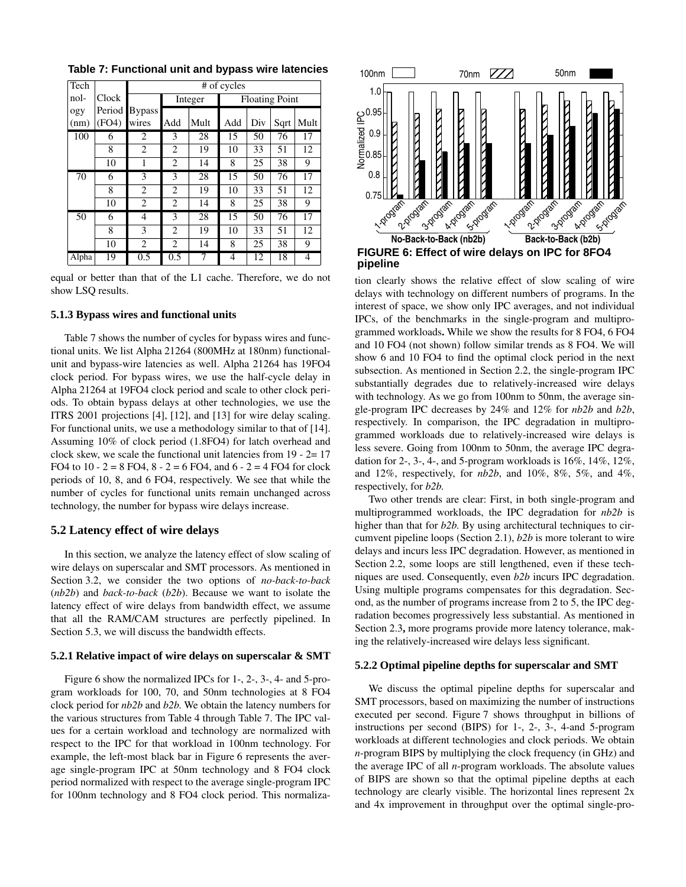| Tech  |        |               | # of cycles    |         |                       |     |      |      |  |  |  |
|-------|--------|---------------|----------------|---------|-----------------------|-----|------|------|--|--|--|
| nol-  | Clock  |               |                | Integer | <b>Floating Point</b> |     |      |      |  |  |  |
| ogy   | Period | <b>Bypass</b> |                |         |                       |     |      |      |  |  |  |
| (nm)  | (FO4)  | wires         | Add            | Mult    | Add                   | Div | Sqrt | Mult |  |  |  |
| 100   | 6      | 2             | 3              | 28      | 15                    | 50  | 76   | 17   |  |  |  |
|       | 8      | 2             | 2              | 19      | 10                    | 33  | 51   | 12   |  |  |  |
|       | 10     | 1             | 2              | 14      | 8                     | 25  | 38   | 9    |  |  |  |
| 70    | 6      | 3             | 3              | 28      | 15                    | 50  | 76   | 17   |  |  |  |
|       | 8      | 2             | 2              | 19      | 10                    | 33  | 51   | 12   |  |  |  |
|       | 10     | 2             | $\overline{c}$ | 14      | 8                     | 25  | 38   | 9    |  |  |  |
| 50    | 6      | 4             | 3              | 28      | 15                    | 50  | 76   | 17   |  |  |  |
|       | 8      | 3             | $\overline{2}$ | 19      | 10                    | 33  | 51   | 12   |  |  |  |
|       | 10     | 2             | $\overline{c}$ | 14      | 8                     | 25  | 38   | 9    |  |  |  |
| Alpha | 19     | 0.5           | 0.5            | 7       | 4                     | 12  | 18   | 4    |  |  |  |

**Table 7: Functional unit and bypass wire latencies**

equal or better than that of the L1 cache. Therefore, we do not show LSQ results.

#### **5.1.3 Bypass wires and functional units**

Table 7 shows the number of cycles for bypass wires and functional units. We list Alpha 21264 (800MHz at 180nm) functionalunit and bypass-wire latencies as well. Alpha 21264 has 19FO4 clock period. For bypass wires, we use the half-cycle delay in Alpha 21264 at 19FO4 clock period and scale to other clock periods. To obtain bypass delays at other technologies, we use the ITRS 2001 projections [4], [12], and [13] for wire delay scaling. For functional units, we use a methodology similar to that of [14]. Assuming 10% of clock period (1.8FO4) for latch overhead and clock skew, we scale the functional unit latencies from 19 - 2= 17 FO4 to  $10 - 2 = 8$  FO4,  $8 - 2 = 6$  FO4, and  $6 - 2 = 4$  FO4 for clock periods of 10, 8, and 6 FO4, respectively. We see that while the number of cycles for functional units remain unchanged across technology, the number for bypass wire delays increase.

#### **5.2 Latency effect of wire delays**

In this section, we analyze the latency effect of slow scaling of wire delays on superscalar and SMT processors. As mentioned in Section 3.2, we consider the two options of *no-back-to-back* (*nb2b*) and *back-to-back* (*b2b*). Because we want to isolate the latency effect of wire delays from bandwidth effect, we assume that all the RAM/CAM structures are perfectly pipelined. In Section 5.3, we will discuss the bandwidth effects.

#### **5.2.1 Relative impact of wire delays on superscalar & SMT**

Figure 6 show the normalized IPCs for 1-, 2-, 3-, 4- and 5-program workloads for 100, 70, and 50nm technologies at 8 FO4 clock period for *nb2b* and *b2b*. We obtain the latency numbers for the various structures from Table 4 through Table 7. The IPC values for a certain workload and technology are normalized with respect to the IPC for that workload in 100nm technology. For example, the left-most black bar in Figure 6 represents the average single-program IPC at 50nm technology and 8 FO4 clock period normalized with respect to the average single-program IPC for 100nm technology and 8 FO4 clock period. This normaliza-



tion clearly shows the relative effect of slow scaling of wire delays with technology on different numbers of programs. In the interest of space, we show only IPC averages, and not individual IPCs, of the benchmarks in the single-program and multiprogrammed workloads**.** While we show the results for 8 FO4, 6 FO4 and 10 FO4 (not shown) follow similar trends as 8 FO4. We will show 6 and 10 FO4 to find the optimal clock period in the next subsection. As mentioned in Section 2.2, the single-program IPC substantially degrades due to relatively-increased wire delays with technology. As we go from 100nm to 50nm, the average single-program IPC decreases by 24% and 12% for *nb2b* and *b2b*, respectively. In comparison, the IPC degradation in multiprogrammed workloads due to relatively-increased wire delays is less severe. Going from 100nm to 50nm, the average IPC degradation for 2-, 3-, 4-, and 5-program workloads is 16%, 14%, 12%, and 12%, respectively, for *nb2b*, and 10%, 8%, 5%, and 4%, respectively, for *b2b*.

Two other trends are clear: First, in both single-program and multiprogrammed workloads, the IPC degradation for *nb2b* is higher than that for *b2b*. By using architectural techniques to circumvent pipeline loops (Section 2.1), *b2b* is more tolerant to wire delays and incurs less IPC degradation. However, as mentioned in Section 2.2, some loops are still lengthened, even if these techniques are used. Consequently, even *b2b* incurs IPC degradation. Using multiple programs compensates for this degradation. Second, as the number of programs increase from 2 to 5, the IPC degradation becomes progressively less substantial. As mentioned in Section 2.3**,** more programs provide more latency tolerance, making the relatively-increased wire delays less significant.

#### **5.2.2 Optimal pipeline depths for superscalar and SMT**

We discuss the optimal pipeline depths for superscalar and SMT processors, based on maximizing the number of instructions executed per second. Figure 7 shows throughput in billions of instructions per second (BIPS) for 1-, 2-, 3-, 4-and 5-program workloads at different technologies and clock periods. We obtain *n*-program BIPS by multiplying the clock frequency (in GHz) and the average IPC of all *n*-program workloads. The absolute values of BIPS are shown so that the optimal pipeline depths at each technology are clearly visible. The horizontal lines represent 2x and 4x improvement in throughput over the optimal single-pro-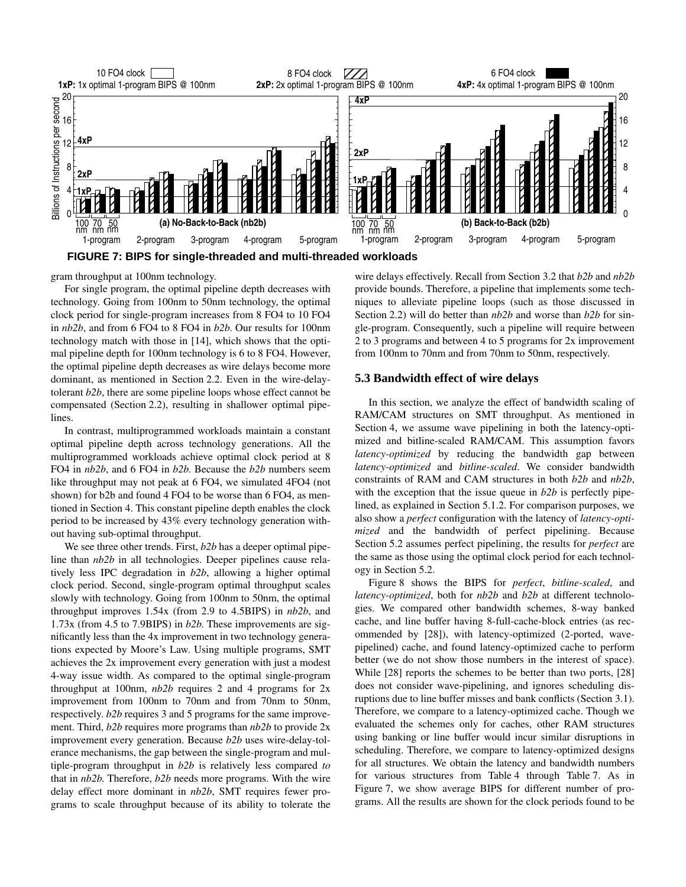

**FIGURE 7: BIPS for single-threaded and multi-threaded workloads**

gram throughput at 100nm technology.

For single program, the optimal pipeline depth decreases with technology. Going from 100nm to 50nm technology, the optimal clock period for single-program increases from 8 FO4 to 10 FO4 in *nb2b*, and from 6 FO4 to 8 FO4 in *b2b*. Our results for 100nm technology match with those in [14], which shows that the optimal pipeline depth for 100nm technology is 6 to 8 FO4. However, the optimal pipeline depth decreases as wire delays become more dominant, as mentioned in Section 2.2. Even in the wire-delaytolerant *b2b*, there are some pipeline loops whose effect cannot be compensated (Section 2.2), resulting in shallower optimal pipelines.

In contrast, multiprogrammed workloads maintain a constant optimal pipeline depth across technology generations. All the multiprogrammed workloads achieve optimal clock period at 8 FO4 in *nb2b*, and 6 FO4 in *b2b*. Because the *b2b* numbers seem like throughput may not peak at 6 FO4, we simulated 4FO4 (not shown) for b2b and found 4 FO4 to be worse than 6 FO4, as mentioned in Section 4. This constant pipeline depth enables the clock period to be increased by 43% every technology generation without having sub-optimal throughput.

We see three other trends. First, *b2b* has a deeper optimal pipeline than *nb2b* in all technologies. Deeper pipelines cause relatively less IPC degradation in *b2b*, allowing a higher optimal clock period. Second, single-program optimal throughput scales slowly with technology. Going from 100nm to 50nm, the optimal throughput improves 1.54x (from 2.9 to 4.5BIPS) in *nb2b*, and 1.73x (from 4.5 to 7.9BIPS) in *b2b*. These improvements are significantly less than the 4x improvement in two technology generations expected by Moore's Law. Using multiple programs, SMT achieves the 2x improvement every generation with just a modest 4-way issue width. As compared to the optimal single-program throughput at 100nm, *nb2b* requires 2 and 4 programs for 2x improvement from 100nm to 70nm and from 70nm to 50nm, respectively. *b2b* requires 3 and 5 programs for the same improvement. Third, *b2b* requires more programs than *nb2b* to provide 2x improvement every generation. Because *b2b* uses wire-delay-tolerance mechanisms, the gap between the single-program and multiple-program throughput in *b2b* is relatively less compared *to* that in *nb2b*. Therefore, *b2b* needs more programs. With the wire delay effect more dominant in *nb2b*, SMT requires fewer programs to scale throughput because of its ability to tolerate the

wire delays effectively. Recall from Section 3.2 that *b2b* and *nb2b* provide bounds. Therefore, a pipeline that implements some techniques to alleviate pipeline loops (such as those discussed in Section 2.2) will do better than *nb2b* and worse than *b2b* for single-program. Consequently, such a pipeline will require between 2 to 3 programs and between 4 to 5 programs for 2x improvement from 100nm to 70nm and from 70nm to 50nm, respectively.

#### **5.3 Bandwidth effect of wire delays**

In this section, we analyze the effect of bandwidth scaling of RAM/CAM structures on SMT throughput. As mentioned in Section 4, we assume wave pipelining in both the latency-optimized and bitline-scaled RAM/CAM. This assumption favors *latency-optimized* by reducing the bandwidth gap between *latency-optimized* and *bitline-scaled*. We consider bandwidth constraints of RAM and CAM structures in both *b2b* and *nb2b*, with the exception that the issue queue in *b2b* is perfectly pipelined, as explained in Section 5.1.2. For comparison purposes, we also show a *perfect* configuration with the latency of *latency-optimized* and the bandwidth of perfect pipelining. Because Section 5.2 assumes perfect pipelining, the results for *perfect* are the same as those using the optimal clock period for each technology in Section 5.2.

Figure 8 shows the BIPS for *perfect*, *bitline-scaled*, and *latency-optimized*, both for *nb2b* and *b2b* at different technologies. We compared other bandwidth schemes, 8-way banked cache, and line buffer having 8-full-cache-block entries (as recommended by [28]), with latency-optimized (2-ported, wavepipelined) cache, and found latency-optimized cache to perform better (we do not show those numbers in the interest of space). While [28] reports the schemes to be better than two ports, [28] does not consider wave-pipelining, and ignores scheduling disruptions due to line buffer misses and bank conflicts (Section 3.1). Therefore, we compare to a latency-optimized cache. Though we evaluated the schemes only for caches, other RAM structures using banking or line buffer would incur similar disruptions in scheduling. Therefore, we compare to latency-optimized designs for all structures. We obtain the latency and bandwidth numbers for various structures from Table 4 through Table 7. As in Figure 7, we show average BIPS for different number of programs. All the results are shown for the clock periods found to be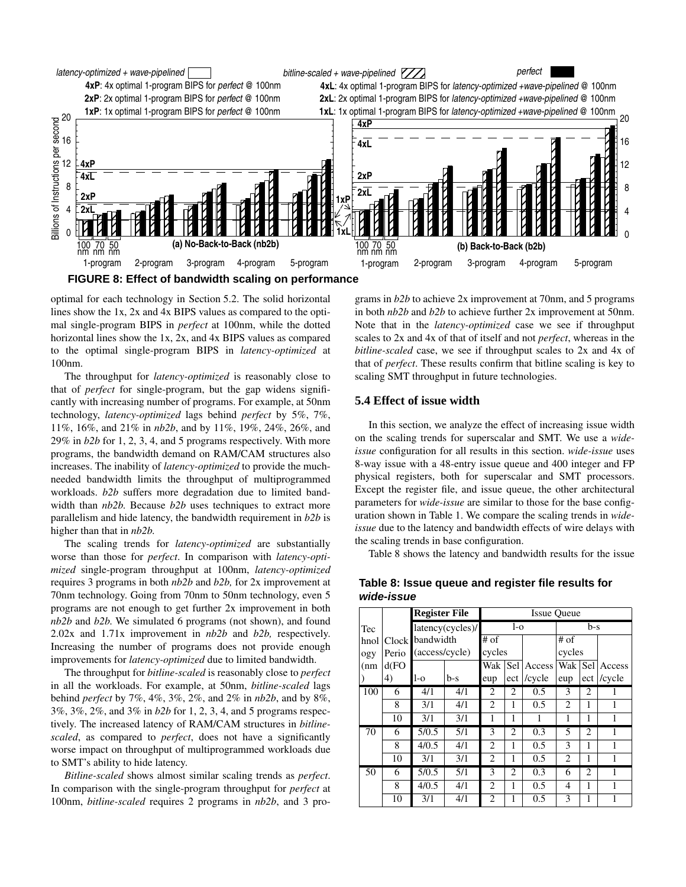

optimal for each technology in Section 5.2. The solid horizontal lines show the 1x, 2x and 4x BIPS values as compared to the optimal single-program BIPS in *perfect* at 100nm, while the dotted horizontal lines show the 1x, 2x, and 4x BIPS values as compared to the optimal single-program BIPS in *latency-optimized* at 100nm.

The throughput for *latency-optimized* is reasonably close to that of *perfect* for single-program, but the gap widens significantly with increasing number of programs. For example, at 50nm technology, *latency-optimized* lags behind *perfect* by 5%, 7%, 11%, 16%, and 21% in *nb2b*, and by 11%, 19%, 24%, 26%, and 29% in *b2b* for 1, 2, 3, 4, and 5 programs respectively. With more programs, the bandwidth demand on RAM/CAM structures also increases. The inability of *latency-optimized* to provide the muchneeded bandwidth limits the throughput of multiprogrammed workloads. *b2b* suffers more degradation due to limited bandwidth than *nb2b*. Because *b2b* uses techniques to extract more parallelism and hide latency, the bandwidth requirement in *b2b* is higher than that in *nb2b*.

The scaling trends for *latency-optimized* are substantially worse than those for *perfect*. In comparison with *latency-optimized* single-program throughput at 100nm, *latency-optimized* requires 3 programs in both *nb2b* and *b2b,* for 2x improvement at 70nm technology. Going from 70nm to 50nm technology, even 5 programs are not enough to get further 2x improvement in both *nb2b* and *b2b*. We simulated 6 programs (not shown), and found 2.02x and 1.71x improvement in *nb2b* and *b2b,* respectively. Increasing the number of programs does not provide enough improvements for *latency-optimized* due to limited bandwidth.

The throughput for *bitline-scaled* is reasonably close to *perfect* in all the workloads. For example, at 50nm, *bitline-scaled* lags behind *perfect* by 7%, 4%, 3%, 2%, and 2% in *nb2b*, and by 8%, 3%, 3%, 2%, and 3% in *b2b* for 1, 2, 3, 4, and 5 programs respectively. The increased latency of RAM/CAM structures in *bitlinescaled*, as compared to *perfect*, does not have a significantly worse impact on throughput of multiprogrammed workloads due to SMT's ability to hide latency.

*Bitline-scaled* shows almost similar scaling trends as *perfect*. In comparison with the single-program throughput for *perfect* at 100nm, *bitline-scaled* requires 2 programs in *nb2b*, and 3 programs in *b2b* to achieve 2x improvement at 70nm, and 5 programs in both *nb2b* and *b2b* to achieve further 2x improvement at 50nm. Note that in the *latency-optimized* case we see if throughput scales to 2x and 4x of that of itself and not *perfect*, whereas in the *bitline-scaled* case, we see if throughput scales to 2x and 4x of that of *perfect*. These results confirm that bitline scaling is key to scaling SMT throughput in future technologies.

#### **5.4 Effect of issue width**

In this section, we analyze the effect of increasing issue width on the scaling trends for superscalar and SMT. We use a *wideissue* configuration for all results in this section. *wide-issue* uses 8-way issue with a 48-entry issue queue and 400 integer and FP physical registers, both for superscalar and SMT processors. Except the register file, and issue queue, the other architectural parameters for *wide-issue* are similar to those for the base configuration shown in Table 1. We compare the scaling trends in *wideissue* due to the latency and bandwidth effects of wire delays with the scaling trends in base configuration.

Table 8 shows the latency and bandwidth results for the issue

|      |       | <b>Register File</b> | <b>Issue Oueue</b> |                |                   |        |                |                |                |
|------|-------|----------------------|--------------------|----------------|-------------------|--------|----------------|----------------|----------------|
| Tec  |       |                      | latency(cycles)/   |                | $\overline{1}$ -0 |        | b-s            |                |                |
| hnol | Clock | bandwidth            |                    | $#$ of         |                   |        | $#$ of         |                |                |
| ogy  | Perio | (access/cycle)       |                    | cycles         |                   |        | cycles         |                |                |
| (nm) | d(FO) |                      |                    | Wak            | <b>Sel</b>        | Access |                |                | Wak Sel Access |
|      | 4)    | l-o                  | b-s                | eup            | ect               | /cycle | eup            |                | ect //cycle    |
| 100  | 6     | 4/1                  | 4/1                | 2              | 2                 | 0.5    | 3              | 2              |                |
|      | 8     | 3/1                  | 4/1                | 2              | 1                 | 0.5    | $\overline{c}$ | 1              | 1              |
|      | 10    | 3/1                  | 3/1                | 1              | 1                 | 1      | 1              | 1              | 1              |
| 70   | 6     | 5/0.5                | 5/1                | 3              | $\mathfrak{D}$    | 0.3    | 5              | $\mathfrak{D}$ | 1              |
|      | 8     | 4/0.5                | 4/1                | $\overline{c}$ | 1                 | 0.5    | 3              | 1              | 1              |
|      | 10    | 3/1                  | 3/1                | $\overline{c}$ | 1                 | 0.5    | $\overline{c}$ | 1              | 1              |
| 50   | 6     | 5/0.5                | 5/1                | 3              | 2                 | 0.3    | 6              | $\overline{c}$ | 1              |
|      | 8     | 4/0.5                | 4/1                | $\overline{c}$ | 1                 | 0.5    | 4              | 1              | 1              |
|      | 10    | 3/1                  | 4/1                | $\overline{2}$ | 1                 | 0.5    | 3              |                |                |

**Table 8: Issue queue and register file results for wide-issue**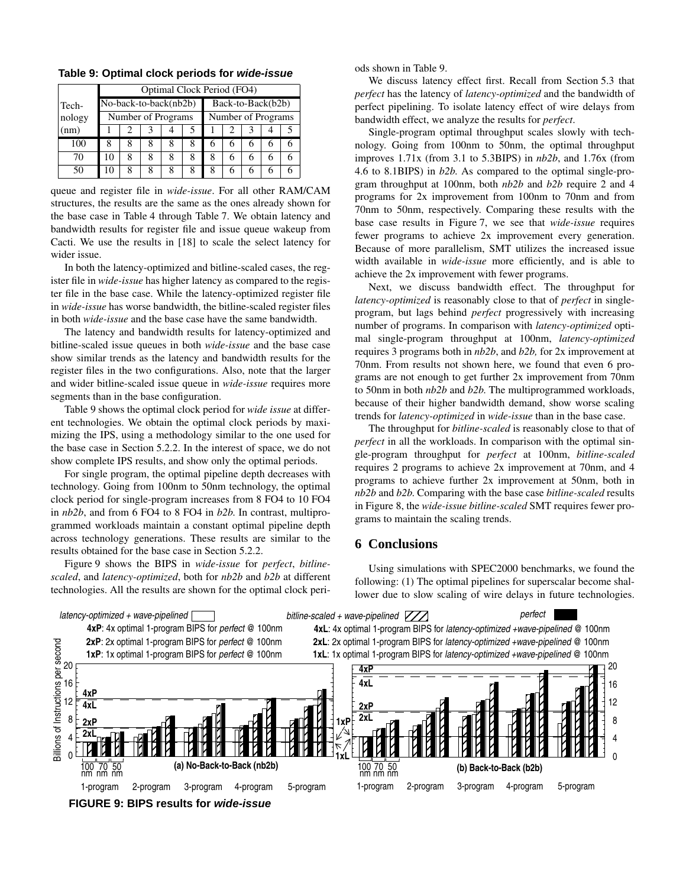|        | Optimal Clock Period (FO4) |   |   |   |  |                    |   |  |  |  |
|--------|----------------------------|---|---|---|--|--------------------|---|--|--|--|
| Tech-  | No-back-to-back(nb2b)      |   |   |   |  | Back-to-Back(b2b)  |   |  |  |  |
| nology | Number of Programs         |   |   |   |  | Number of Programs |   |  |  |  |
| nm     |                            |   |   |   |  |                    |   |  |  |  |
| 100    |                            | 8 | 8 | x |  |                    | n |  |  |  |
| 70     | 10                         | 8 | 8 | 8 |  | 8                  |   |  |  |  |
| 50     | 10                         | 8 | 8 |   |  | 8                  |   |  |  |  |

**Table 9: Optimal clock periods for wide-issue**

queue and register file in *wide-issue*. For all other RAM/CAM structures, the results are the same as the ones already shown for the base case in Table 4 through Table 7. We obtain latency and bandwidth results for register file and issue queue wakeup from Cacti. We use the results in [18] to scale the select latency for wider issue.

In both the latency-optimized and bitline-scaled cases, the register file in *wide-issue* has higher latency as compared to the register file in the base case. While the latency-optimized register file in *wide-issue* has worse bandwidth, the bitline-scaled register files in both *wide-issue* and the base case have the same bandwidth.

The latency and bandwidth results for latency-optimized and bitline-scaled issue queues in both *wide-issue* and the base case show similar trends as the latency and bandwidth results for the register files in the two configurations. Also, note that the larger and wider bitline-scaled issue queue in *wide-issue* requires more segments than in the base configuration.

Table 9 shows the optimal clock period for *wide issue* at different technologies. We obtain the optimal clock periods by maximizing the IPS, using a methodology similar to the one used for the base case in Section 5.2.2. In the interest of space, we do not show complete IPS results, and show only the optimal periods.

For single program, the optimal pipeline depth decreases with technology. Going from 100nm to 50nm technology, the optimal clock period for single-program increases from 8 FO4 to 10 FO4 in *nb2b*, and from 6 FO4 to 8 FO4 in *b2b*. In contrast, multiprogrammed workloads maintain a constant optimal pipeline depth across technology generations. These results are similar to the results obtained for the base case in Section 5.2.2.

Figure 9 shows the BIPS in *wide-issue* for *perfect*, *bitlinescaled*, and *latency-optimized*, both for *nb2b* and *b2b* at different technologies. All the results are shown for the optimal clock periods shown in Table 9.

We discuss latency effect first. Recall from Section 5.3 that *perfect* has the latency of *latency-optimized* and the bandwidth of perfect pipelining. To isolate latency effect of wire delays from bandwidth effect, we analyze the results for *perfect*.

Single-program optimal throughput scales slowly with technology. Going from 100nm to 50nm, the optimal throughput improves 1.71x (from 3.1 to 5.3BIPS) in *nb2b*, and 1.76x (from 4.6 to 8.1BIPS) in *b2b*. As compared to the optimal single-program throughput at 100nm, both *nb2b* and *b2b* require 2 and 4 programs for 2x improvement from 100nm to 70nm and from 70nm to 50nm, respectively. Comparing these results with the base case results in Figure 7, we see that *wide-issue* requires fewer programs to achieve 2x improvement every generation. Because of more parallelism, SMT utilizes the increased issue width available in *wide-issue* more efficiently, and is able to achieve the 2x improvement with fewer programs.

Next, we discuss bandwidth effect. The throughput for *latency-optimized* is reasonably close to that of *perfect* in singleprogram, but lags behind *perfect* progressively with increasing number of programs. In comparison with *latency-optimized* optimal single-program throughput at 100nm, *latency-optimized* requires 3 programs both in *nb2b*, and *b2b,* for 2x improvement at 70nm. From results not shown here, we found that even 6 programs are not enough to get further 2x improvement from 70nm to 50nm in both *nb2b* and *b2b*. The multiprogrammed workloads, because of their higher bandwidth demand, show worse scaling trends for *latency-optimized* in *wide-issue* than in the base case.

The throughput for *bitline-scaled* is reasonably close to that of *perfect* in all the workloads. In comparison with the optimal single-program throughput for *perfect* at 100nm, *bitline-scaled* requires 2 programs to achieve 2x improvement at 70nm, and 4 programs to achieve further 2x improvement at 50nm, both in *nb2b* and *b2b*. Comparing with the base case *bitline-scaled* results in Figure 8, the *wide-issue bitline-scaled* SMT requires fewer programs to maintain the scaling trends.

#### **6 Conclusions**

Using simulations with SPEC2000 benchmarks, we found the following: (1) The optimal pipelines for superscalar become shallower due to slow scaling of wire delays in future technologies.



**FIGURE 9: BIPS results for wide-issue**